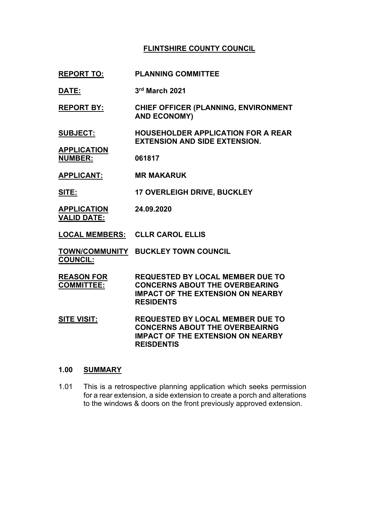# **FLINTSHIRE COUNTY COUNCIL**

- **REPORT TO: PLANNING COMMITTEE**
- **DATE: 3 rd March 2021**
- **REPORT BY: CHIEF OFFICER (PLANNING, ENVIRONMENT AND ECONOMY)**
- **SUBJECT: HOUSEHOLDER APPLICATION FOR A REAR EXTENSION AND SIDE EXTENSION.**
- **APPLICATION NUMBER: 061817**
- **APPLICANT: MR MAKARUK**
- **SITE: 17 OVERLEIGH DRIVE, BUCKLEY**
- **APPLICATION VALID DATE: 24.09.2020**
- **LOCAL MEMBERS: CLLR CAROL ELLIS**
- **TOWN/COMMUNITY BUCKLEY TOWN COUNCIL COUNCIL:**
- **REASON FOR COMMITTEE: REQUESTED BY LOCAL MEMBER DUE TO CONCERNS ABOUT THE OVERBEARING IMPACT OF THE EXTENSION ON NEARBY RESIDENTS**
- **SITE VISIT: REQUESTED BY LOCAL MEMBER DUE TO CONCERNS ABOUT THE OVERBEAIRNG IMPACT OF THE EXTENSION ON NEARBY REISDENTIS**

### **1.00 SUMMARY**

1.01 This is a retrospective planning application which seeks permission for a rear extension, a side extension to create a porch and alterations to the windows & doors on the front previously approved extension.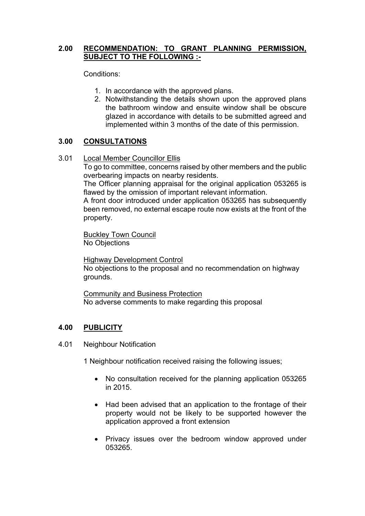## **2.00 RECOMMENDATION: TO GRANT PLANNING PERMISSION, SUBJECT TO THE FOLLOWING :-**

Conditions:

- 1. In accordance with the approved plans.
- 2. Notwithstanding the details shown upon the approved plans the bathroom window and ensuite window shall be obscure glazed in accordance with details to be submitted agreed and implemented within 3 months of the date of this permission.

# **3.00 CONSULTATIONS**

3.01 Local Member Councillor Ellis

To go to committee, concerns raised by other members and the public overbearing impacts on nearby residents.

The Officer planning appraisal for the original application 053265 is flawed by the omission of important relevant information.

A front door introduced under application 053265 has subsequently been removed, no external escape route now exists at the front of the property.

Buckley Town Council No Objections

Highway Development Control No objections to the proposal and no recommendation on highway grounds.

Community and Business Protection No adverse comments to make regarding this proposal

# **4.00 PUBLICITY**

4.01 Neighbour Notification

1 Neighbour notification received raising the following issues;

- No consultation received for the planning application 053265 in 2015.
- Had been advised that an application to the frontage of their property would not be likely to be supported however the application approved a front extension
- Privacy issues over the bedroom window approved under 053265.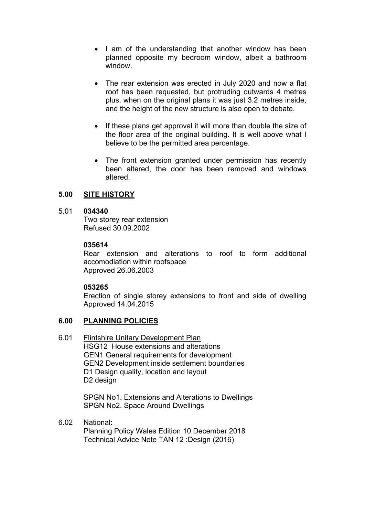- I am of the understanding that another window has been planned opposite my bedroom window, albeit a bathroom window.
- The rear extension was erected in July 2020 and now a flat roof has been requested, but protruding outwards 4 metres plus, when on the original plans it was just 3.2 metres inside, and the height of the new structure is also open to debate.
- If these plans get approval it will more than double the size of the floor area of the original building. It is well above what I believe to be the permitted area percentage.
- The front extension granted under permission has recently been altered, the door has been removed and windows altered.

## **5.00 SITE HISTORY**

### 5.01 **034340**

Two storey rear extension Refused 30.09.2002

### **035614**

Rear extension and alterations to roof to form additional accomodiation within roofspace Approved 26.06.2003

### **053265**

Erection of single storey extensions to front and side of dwelling Approved 14.04.2015

### **6.00 PLANNING POLICIES**

#### 6.01 Flintshire Unitary Development Plan

HSG12 House extensions and alterations GEN1 General requirements for development GEN2 Development inside settlement boundaries D1 Design quality, location and layout D2 design

SPGN No1. Extensions and Alterations to Dwellings SPGN No2. Space Around Dwellings

#### 6.02 National:

Planning Policy Wales Edition 10 December 2018 Technical Advice Note TAN 12 :Design (2016)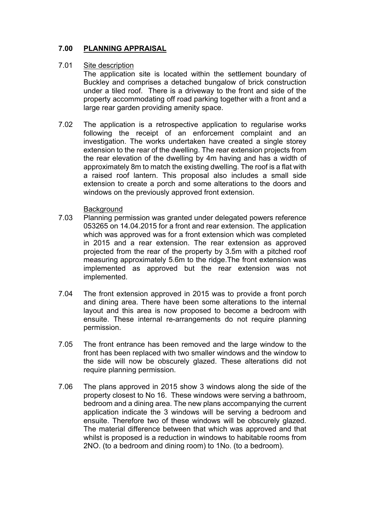# **7.00 PLANNING APPRAISAL**

#### 7.01 Site description

The application site is located within the settlement boundary of Buckley and comprises a detached bungalow of brick construction under a tiled roof. There is a driveway to the front and side of the property accommodating off road parking together with a front and a large rear garden providing amenity space.

7.02 The application is a retrospective application to regularise works following the receipt of an enforcement complaint and an investigation. The works undertaken have created a single storey extension to the rear of the dwelling. The rear extension projects from the rear elevation of the dwelling by 4m having and has a width of approximately 8m to match the existing dwelling. The roof is a flat with a raised roof lantern. This proposal also includes a small side extension to create a porch and some alterations to the doors and windows on the previously approved front extension.

### **Background**

- 7.03 Planning permission was granted under delegated powers reference 053265 on 14.04.2015 for a front and rear extension. The application which was approved was for a front extension which was completed in 2015 and a rear extension. The rear extension as approved projected from the rear of the property by 3.5m with a pitched roof measuring approximately 5.6m to the ridge.The front extension was implemented as approved but the rear extension was not implemented.
- 7.04 The front extension approved in 2015 was to provide a front porch and dining area. There have been some alterations to the internal layout and this area is now proposed to become a bedroom with ensuite. These internal re-arrangements do not require planning permission.
- 7.05 The front entrance has been removed and the large window to the front has been replaced with two smaller windows and the window to the side will now be obscurely glazed. These alterations did not require planning permission.
- 7.06 The plans approved in 2015 show 3 windows along the side of the property closest to No 16. These windows were serving a bathroom, bedroom and a dining area. The new plans accompanying the current application indicate the 3 windows will be serving a bedroom and ensuite. Therefore two of these windows will be obscurely glazed. The material difference between that which was approved and that whilst is proposed is a reduction in windows to habitable rooms from 2NO. (to a bedroom and dining room) to 1No. (to a bedroom).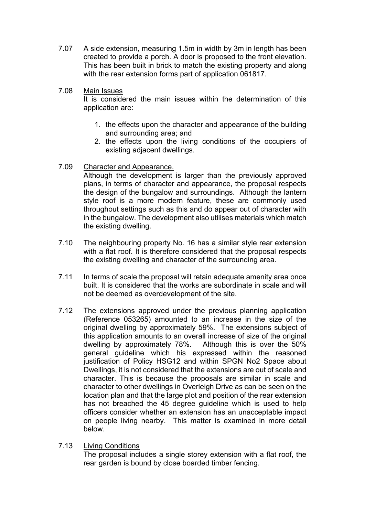- 7.07 A side extension, measuring 1.5m in width by 3m in length has been created to provide a porch. A door is proposed to the front elevation. This has been built in brick to match the existing property and along with the rear extension forms part of application 061817.
- 7.08 Main Issues

It is considered the main issues within the determination of this application are:

- 1. the effects upon the character and appearance of the building and surrounding area; and
- 2. the effects upon the living conditions of the occupiers of existing adjacent dwellings.
- 7.09 Character and Appearance.

Although the development is larger than the previously approved plans, in terms of character and appearance, the proposal respects the design of the bungalow and surroundings. Although the lantern style roof is a more modern feature, these are commonly used throughout settings such as this and do appear out of character with in the bungalow. The development also utilises materials which match the existing dwelling.

- 7.10 The neighbouring property No. 16 has a similar style rear extension with a flat roof. It is therefore considered that the proposal respects the existing dwelling and character of the surrounding area.
- 7.11 In terms of scale the proposal will retain adequate amenity area once built. It is considered that the works are subordinate in scale and will not be deemed as overdevelopment of the site.
- 7.12 The extensions approved under the previous planning application (Reference 053265) amounted to an increase in the size of the original dwelling by approximately 59%. The extensions subject of this application amounts to an overall increase of size of the original dwelling by approximately 78%. Although this is over the 50% general guideline which his expressed within the reasoned justification of Policy HSG12 and within SPGN No2 Space about Dwellings, it is not considered that the extensions are out of scale and character. This is because the proposals are similar in scale and character to other dwellings in Overleigh Drive as can be seen on the location plan and that the large plot and position of the rear extension has not breached the 45 degree guideline which is used to help officers consider whether an extension has an unacceptable impact on people living nearby. This matter is examined in more detail below.
- 7.13 Living Conditions

The proposal includes a single storey extension with a flat roof, the rear garden is bound by close boarded timber fencing.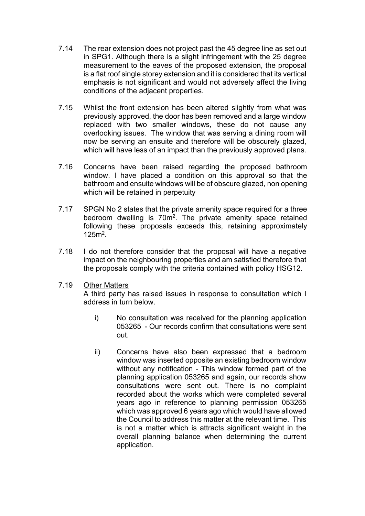- 7.14 The rear extension does not project past the 45 degree line as set out in SPG1. Although there is a slight infringement with the 25 degree measurement to the eaves of the proposed extension, the proposal is a flat roof single storey extension and it is considered that its vertical emphasis is not significant and would not adversely affect the living conditions of the adjacent properties.
- 7.15 Whilst the front extension has been altered slightly from what was previously approved, the door has been removed and a large window replaced with two smaller windows, these do not cause any overlooking issues. The window that was serving a dining room will now be serving an ensuite and therefore will be obscurely glazed, which will have less of an impact than the previously approved plans.
- 7.16 Concerns have been raised regarding the proposed bathroom window. I have placed a condition on this approval so that the bathroom and ensuite windows will be of obscure glazed, non opening which will be retained in perpetuity
- 7.17 SPGN No 2 states that the private amenity space required for a three bedroom dwelling is 70m<sup>2</sup>. The private amenity space retained following these proposals exceeds this, retaining approximately 125m<sup>2</sup> .
- 7.18 I do not therefore consider that the proposal will have a negative impact on the neighbouring properties and am satisfied therefore that the proposals comply with the criteria contained with policy HSG12.

### 7.19 Other Matters

A third party has raised issues in response to consultation which I address in turn below.

- i) No consultation was received for the planning application 053265 - Our records confirm that consultations were sent out.
- ii) Concerns have also been expressed that a bedroom window was inserted opposite an existing bedroom window without any notification - This window formed part of the planning application 053265 and again, our records show consultations were sent out. There is no complaint recorded about the works which were completed several years ago in reference to planning permission 053265 which was approved 6 years ago which would have allowed the Council to address this matter at the relevant time. This is not a matter which is attracts significant weight in the overall planning balance when determining the current application.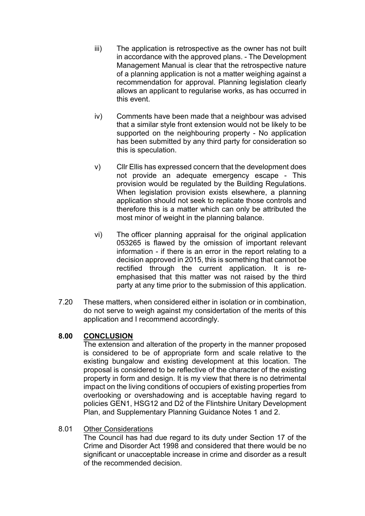- iii) The application is retrospective as the owner has not built in accordance with the approved plans. - The Development Management Manual is clear that the retrospective nature of a planning application is not a matter weighing against a recommendation for approval. Planning legislation clearly allows an applicant to regularise works, as has occurred in this event.
- iv) Comments have been made that a neighbour was advised that a similar style front extension would not be likely to be supported on the neighbouring property - No application has been submitted by any third party for consideration so this is speculation.
- v) Cllr Ellis has expressed concern that the development does not provide an adequate emergency escape - This provision would be regulated by the Building Regulations. When legislation provision exists elsewhere, a planning application should not seek to replicate those controls and therefore this is a matter which can only be attributed the most minor of weight in the planning balance.
- vi) The officer planning appraisal for the original application 053265 is flawed by the omission of important relevant information - if there is an error in the report relating to a decision approved in 2015, this is something that cannot be rectified through the current application. It is reemphasised that this matter was not raised by the third party at any time prior to the submission of this application.
- 7.20 These matters, when considered either in isolation or in combination, do not serve to weigh against my considertation of the merits of this application and I recommend accordingly.

### **8.00 CONCLUSION**

The extension and alteration of the property in the manner proposed is considered to be of appropriate form and scale relative to the existing bungalow and existing development at this location. The proposal is considered to be reflective of the character of the existing property in form and design. It is my view that there is no detrimental impact on the living conditions of occupiers of existing properties from overlooking or overshadowing and is acceptable having regard to policies GEN1, HSG12 and D2 of the Flintshire Unitary Development Plan, and Supplementary Planning Guidance Notes 1 and 2.

# 8.01 Other Considerations

The Council has had due regard to its duty under Section 17 of the Crime and Disorder Act 1998 and considered that there would be no significant or unacceptable increase in crime and disorder as a result of the recommended decision.